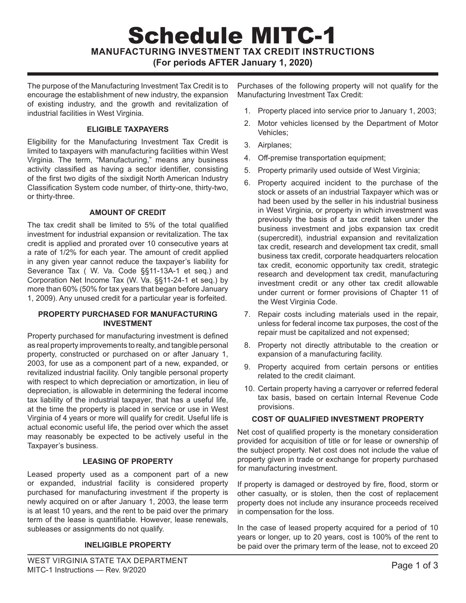# Schedule MITC-1 **MANUFACTURING INVESTMENT TAX CREDIT INSTRUCTIONS (For periods AFTER January 1, 2020)**

The purpose of the Manufacturing Investment Tax Credit is to encourage the establishment of new industry, the expansion of existing industry, and the growth and revitalization of industrial facilities in West Virginia.

### **ELIGIBLE TAXPAYERS**

Eligibility for the Manufacturing Investment Tax Credit is limited to taxpayers with manufacturing facilities within West Virginia. The term, "Manufacturing," means any business activity classified as having a sector identifier, consisting of the first two digits of the sixdigit North American Industry Classification System code number, of thirty-one, thirty-two, or thirty-three.

## **AMOUNT OF CREDIT**

The tax credit shall be limited to 5% of the total qualified investment for industrial expansion or revitalization. The tax credit is applied and prorated over 10 consecutive years at a rate of 1/2% for each year. The amount of credit applied in any given year cannot reduce the taxpayer's liability for Severance Tax ( W. Va. Code §§11-13A-1 et seq.) and Corporation Net Income Tax (W. Va. §§11-24-1 et seq.) by more than 60% (50% for tax years that began before January 1, 2009). Any unused credit for a particular year is forfeited.

#### **PROPERTY PURCHASED FOR MANUFACTURING INVESTMENT**

Property purchased for manufacturing investment is defined as real property improvements to realty, and tangible personal property, constructed or purchased on or after January 1, 2003, for use as a component part of a new, expanded, or revitalized industrial facility. Only tangible personal property with respect to which depreciation or amortization, in lieu of depreciation, is allowable in determining the federal income tax liability of the industrial taxpayer, that has a useful life, at the time the property is placed in service or use in West Virginia of 4 years or more will qualify for credit. Useful life is actual economic useful life, the period over which the asset may reasonably be expected to be actively useful in the Taxpayer's business.

#### **LEASING OF PROPERTY**

Leased property used as a component part of a new or expanded, industrial facility is considered property purchased for manufacturing investment if the property is newly acquired on or after January 1, 2003, the lease term is at least 10 years, and the rent to be paid over the primary term of the lease is quantifiable. However, lease renewals, subleases or assignments do not qualify.

# **INELIGIBLE PROPERTY**

Purchases of the following property will not qualify for the Manufacturing Investment Tax Credit:

- 1. Property placed into service prior to January 1, 2003;
- 2. Motor vehicles licensed by the Department of Motor Vehicles;
- 3. Airplanes;
- 4. Off-premise transportation equipment;
- 5. Property primarily used outside of West Virginia;
- 6. Property acquired incident to the purchase of the stock or assets of an industrial Taxpayer which was or had been used by the seller in his industrial business in West Virginia, or property in which investment was previously the basis of a tax credit taken under the business investment and jobs expansion tax credit (supercredit), industrial expansion and revitalization tax credit, research and development tax credit, small business tax credit, corporate headquarters relocation tax credit, economic opportunity tax credit, strategic research and development tax credit, manufacturing investment credit or any other tax credit allowable under current or former provisions of Chapter 11 of the West Virginia Code.
- 7. Repair costs including materials used in the repair, unless for federal income tax purposes, the cost of the repair must be capitalized and not expensed;
- 8. Property not directly attributable to the creation or expansion of a manufacturing facility.
- 9. Property acquired from certain persons or entities related to the credit claimant.
- 10. Certain property having a carryover or referred federal tax basis, based on certain Internal Revenue Code provisions.

# **COST OF QUALIFIED INVESTMENT PROPERTY**

Net cost of qualified property is the monetary consideration provided for acquisition of title or for lease or ownership of the subject property. Net cost does not include the value of property given in trade or exchange for property purchased for manufacturing investment.

If property is damaged or destroyed by fire, flood, storm or other casualty, or is stolen, then the cost of replacement property does not include any insurance proceeds received in compensation for the loss.

In the case of leased property acquired for a period of 10 years or longer, up to 20 years, cost is 100% of the rent to be paid over the primary term of the lease, not to exceed 20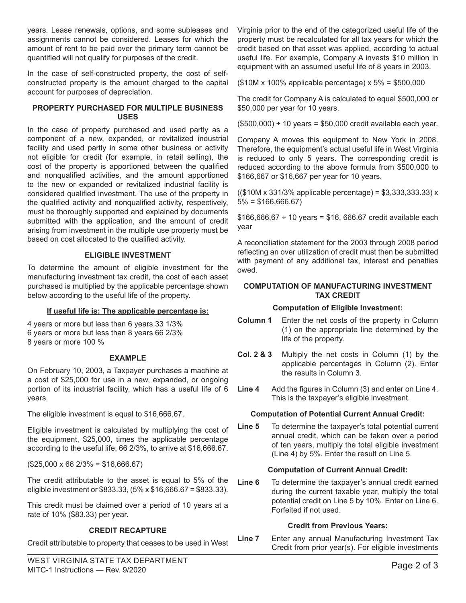years. Lease renewals, options, and some subleases and assignments cannot be considered. Leases for which the amount of rent to be paid over the primary term cannot be quantified will not qualify for purposes of the credit.

In the case of self-constructed property, the cost of selfconstructed property is the amount charged to the capital account for purposes of depreciation.

### **PROPERTY PURCHASED FOR MULTIPLE BUSINESS USES**

In the case of property purchased and used partly as a component of a new, expanded, or revitalized industrial facility and used partly in some other business or activity not eligible for credit (for example, in retail selling), the cost of the property is apportioned between the qualified and nonqualified activities, and the amount apportioned to the new or expanded or revitalized industrial facility is considered qualified investment. The use of the property in the qualified activity and nonqualified activity, respectively, must be thoroughly supported and explained by documents submitted with the application, and the amount of credit arising from investment in the multiple use property must be based on cost allocated to the qualified activity.

## **ELIGIBLE INVESTMENT**

To determine the amount of eligible investment for the manufacturing investment tax credit, the cost of each asset purchased is multiplied by the applicable percentage shown below according to the useful life of the property.

#### **If useful life is: The applicable percentage is:**

4 years or more but less than 6 years 33 1/3% 6 years or more but less than 8 years 66 2/3% 8 years or more 100 %

#### **EXAMPLE**

On February 10, 2003, a Taxpayer purchases a machine at a cost of \$25,000 for use in a new, expanded, or ongoing portion of its industrial facility, which has a useful life of 6 years.

The eligible investment is equal to \$16,666.67.

Eligible investment is calculated by multiplying the cost of the equipment, \$25,000, times the applicable percentage according to the useful life, 66 2/3%, to arrive at \$16,666.67.

 $($25,000 \times 66 \frac{2}{3\%} = $16,666.67)$ 

The credit attributable to the asset is equal to 5% of the eligible investment or \$833.33, (5% x \$16,666.67 = \$833.33).

This credit must be claimed over a period of 10 years at a rate of 10% (\$83.33) per year.

# **CREDIT RECAPTURE**

Credit attributable to property that ceases to be used in West

Virginia prior to the end of the categorized useful life of the property must be recalculated for all tax years for which the credit based on that asset was applied, according to actual useful life. For example, Company A invests \$10 million in equipment with an assumed useful life of 8 years in 2003.

(\$10M x 100% applicable percentage) x 5% = \$500,000

The credit for Company A is calculated to equal \$500,000 or \$50,000 per year for 10 years.

 $($500,000) \div 10 \text{ years} = $50,000 \text{ credit available each year}.$ 

Company A moves this equipment to New York in 2008. Therefore, the equipment's actual useful life in West Virginia is reduced to only 5 years. The corresponding credit is reduced according to the above formula from \$500,000 to \$166,667 or \$16,667 per year for 10 years.

((\$10M x 331/3% applicable percentage) = \$3,333,333.33) x  $5\% = $166,666.67$ 

 $$166,666.67 \div 10 \text{ years} = $16,666.67 \text{ credit available each}$ year

A reconciliation statement for the 2003 through 2008 period reflecting an over utilization of credit must then be submitted with payment of any additional tax, interest and penalties owed.

#### **COMPUTATION OF MANUFACTURING INVESTMENT TAX CREDIT**

#### **Computation of Eligible Investment:**

- **Column 1** Enter the net costs of the property in Column (1) on the appropriate line determined by the life of the property.
- **Col. 2 & 3** Multiply the net costs in Column (1) by the applicable percentages in Column (2). Enter the results in Column 3.
- **Line 4** Add the figures in Column (3) and enter on Line 4. This is the taxpayer's eligible investment.

#### **Computation of Potential Current Annual Credit:**

**Line 5** To determine the taxpayer's total potential current annual credit, which can be taken over a period of ten years, multiply the total eligible investment (Line 4) by 5%. Enter the result on Line 5.

#### **Computation of Current Annual Credit:**

**Line 6** To determine the taxpayer's annual credit earned during the current taxable year, multiply the total potential credit on Line 5 by 10%. Enter on Line 6. Forfeited if not used.

#### **Credit from Previous Years:**

**Line 7** Enter any annual Manufacturing Investment Tax Credit from prior year(s). For eligible investments